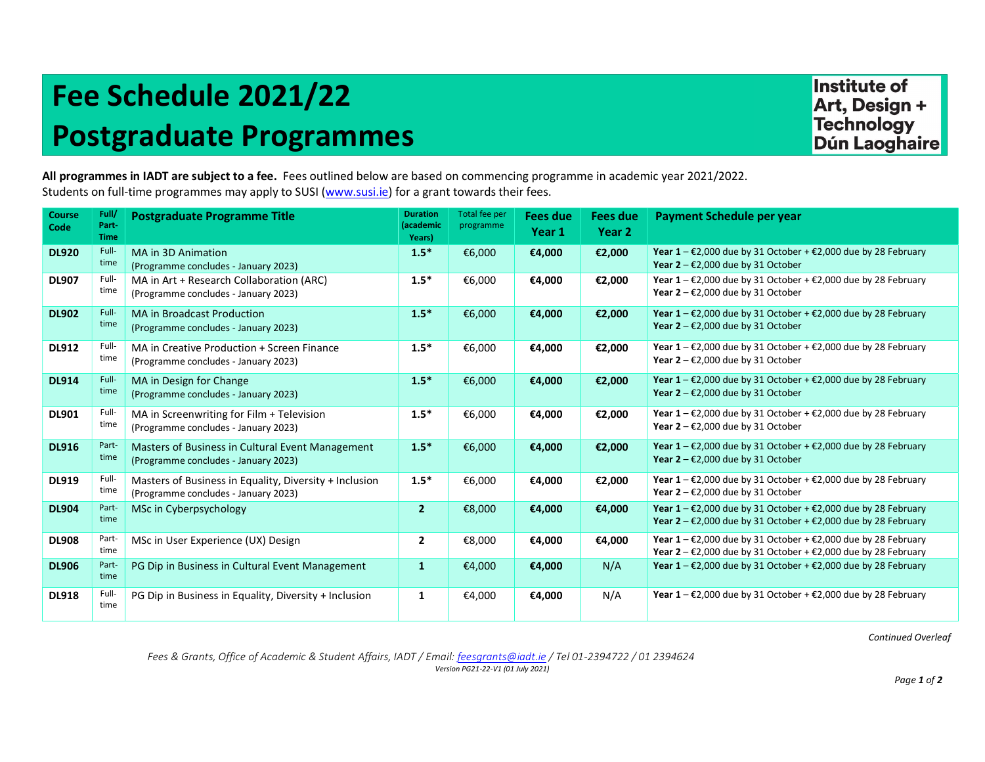## Fee Schedule 2021/22 Postgraduate Programmes

**Institute of** Art, Design + **Technology Dún Laoghaire** 

All programmes in IADT are subject to a fee. Fees outlined below are based on commencing programme in academic year 2021/2022. Students on full-time programmes may apply to SUSI (www.susi.ie) for a grant towards their fees.

| <b>Course</b><br>Code | Full/<br>Part-<br><b>Time</b> | <b>Postgraduate Programme Title</b>                                                            | <b>Duration</b><br>(academic<br>Years) | Total fee per<br>programme | Fees due<br>Year 1 | <b>Fees due</b><br>Year 2 | Payment Schedule per year                                                                                                                                              |
|-----------------------|-------------------------------|------------------------------------------------------------------------------------------------|----------------------------------------|----------------------------|--------------------|---------------------------|------------------------------------------------------------------------------------------------------------------------------------------------------------------------|
| <b>DL920</b>          | Full-<br>time                 | MA in 3D Animation<br>(Programme concludes - January 2023)                                     | $1.5*$                                 | €6,000                     | €4,000             | €2,000                    | Year $1 - \epsilon$ 2,000 due by 31 October + $\epsilon$ 2,000 due by 28 February<br>Year $2 - \epsilon$ 2,000 due by 31 October                                       |
| <b>DL907</b>          | Full-<br>time                 | MA in Art + Research Collaboration (ARC)<br>(Programme concludes - January 2023)               | $1.5*$                                 | €6,000                     | €4,000             | €2,000                    | Year $1 - \epsilon$ 2,000 due by 31 October + $\epsilon$ 2,000 due by 28 February<br>Year $2 - \epsilon$ 2,000 due by 31 October                                       |
| <b>DL902</b>          | Full-<br>time                 | <b>MA in Broadcast Production</b><br>(Programme concludes - January 2023)                      | $1.5*$                                 | €6,000                     | €4,000             | €2,000                    | Year $1 - \epsilon$ 2,000 due by 31 October + $\epsilon$ 2,000 due by 28 February<br>Year $2 - \epsilon$ 2,000 due by 31 October                                       |
| <b>DL912</b>          | Full-<br>time                 | MA in Creative Production + Screen Finance<br>(Programme concludes - January 2023)             | $1.5*$                                 | €6,000                     | €4,000             | €2,000                    | Year $1 - \epsilon$ 2,000 due by 31 October + $\epsilon$ 2,000 due by 28 February<br>Year $2 - \epsilon$ 2,000 due by 31 October                                       |
| <b>DL914</b>          | Full-<br>time                 | MA in Design for Change<br>(Programme concludes - January 2023)                                | $1.5*$                                 | €6,000                     | €4,000             | €2,000                    | Year $1 - \epsilon$ 2,000 due by 31 October + $\epsilon$ 2,000 due by 28 February<br>Year $2 - \epsilon$ 2,000 due by 31 October                                       |
| <b>DL901</b>          | Full-<br>time                 | MA in Screenwriting for Film + Television<br>(Programme concludes - January 2023)              | $1.5*$                                 | €6,000                     | €4,000             | €2,000                    | Year $1 - \epsilon$ 2,000 due by 31 October + $\epsilon$ 2,000 due by 28 February<br>Year $2 - \epsilon$ 2,000 due by 31 October                                       |
| <b>DL916</b>          | Part-<br>time                 | Masters of Business in Cultural Event Management<br>(Programme concludes - January 2023)       | $1.5*$                                 | €6,000                     | €4,000             | €2,000                    | Year $1 - \epsilon$ 2,000 due by 31 October + $\epsilon$ 2,000 due by 28 February<br>Year $2 - \epsilon$ 2,000 due by 31 October                                       |
| <b>DL919</b>          | Full-<br>time                 | Masters of Business in Equality, Diversity + Inclusion<br>(Programme concludes - January 2023) | $1.5*$                                 | €6,000                     | €4,000             | €2,000                    | Year $1 - \epsilon$ 2,000 due by 31 October + $\epsilon$ 2,000 due by 28 February<br>Year $2 - \epsilon$ 2,000 due by 31 October                                       |
| <b>DL904</b>          | Part-<br>time                 | MSc in Cyberpsychology                                                                         | $\overline{2}$                         | €8,000                     | €4,000             | €4,000                    | Year $1 - \epsilon$ 2,000 due by 31 October + $\epsilon$ 2,000 due by 28 February<br>Year $2 - \epsilon$ 2,000 due by 31 October + $\epsilon$ 2,000 due by 28 February |
| <b>DL908</b>          | Part-<br>time                 | MSc in User Experience (UX) Design                                                             | $\overline{2}$                         | €8,000                     | €4,000             | €4,000                    | Year $1 - \epsilon$ 2,000 due by 31 October + $\epsilon$ 2,000 due by 28 February<br>Year $2 - \epsilon$ 2,000 due by 31 October + $\epsilon$ 2,000 due by 28 February |
| <b>DL906</b>          | Part-<br>time                 | PG Dip in Business in Cultural Event Management                                                | $\mathbf{1}$                           | €4,000                     | €4,000             | N/A                       | Year $1 - \epsilon$ 2,000 due by 31 October + $\epsilon$ 2,000 due by 28 February                                                                                      |
| <b>DL918</b>          | Full-<br>time                 | PG Dip in Business in Equality, Diversity + Inclusion                                          | 1                                      | €4,000                     | €4,000             | N/A                       | Year $1 - \epsilon$ 2,000 due by 31 October + $\epsilon$ 2,000 due by 28 February                                                                                      |
|                       |                               |                                                                                                |                                        |                            |                    |                           |                                                                                                                                                                        |

Continued Overleaf

Fees & Grants, Office of Academic & Student Affairs, IADT / Email: feesgrants@iadt.ie / Tel 01-2394722 / 01 2394624 Version PG21-22-V1 (01 July 2021)